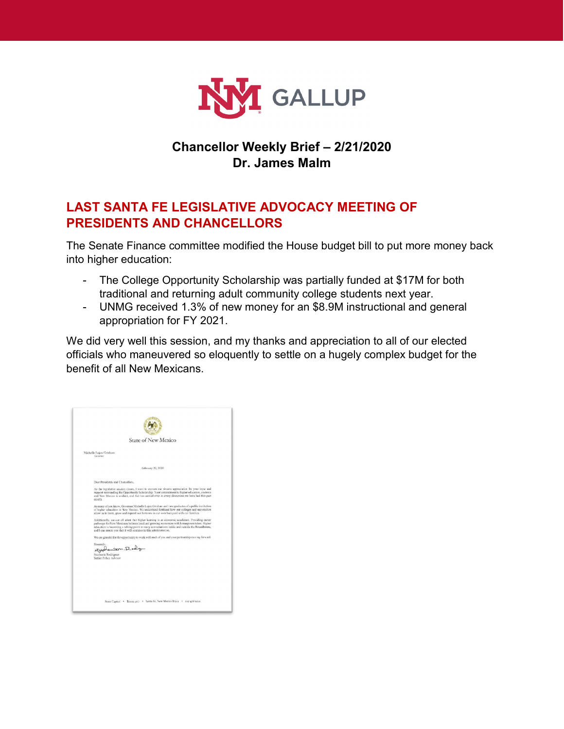

# **Chancellor Weekly Brief – 2/21/2020 Dr. James Malm**

## **LAST SANTA FE LEGISLATIVE ADVOCACY MEETING OF PRESIDENTS AND CHANCELLORS**

The Senate Finance committee modified the House budget bill to put more money back into higher education:

- The College Opportunity Scholarship was partially funded at \$17M for both traditional and returning adult community college students next year.
- UNMG received 1.3% of new money for an \$8.9M instructional and general appropriation for FY 2021.

We did very well this session, and my thanks and appreciation to all of our elected officials who maneuvered so eloquently to settle on a hugely complex budget for the benefit of all New Mexicans.

| <b>State of New Mexico</b>         |                                                                                                                                                                                                                                                                                                                                                                          |  |
|------------------------------------|--------------------------------------------------------------------------------------------------------------------------------------------------------------------------------------------------------------------------------------------------------------------------------------------------------------------------------------------------------------------------|--|
| Michelle Lujan Grisham<br>Governor |                                                                                                                                                                                                                                                                                                                                                                          |  |
|                                    | February 20, 2020.                                                                                                                                                                                                                                                                                                                                                       |  |
|                                    | Door Presidents and Chancellors.                                                                                                                                                                                                                                                                                                                                         |  |
| mont's.                            | As the ingislative session closes, I want to express our sincere appreciation for your input and<br>support surrounding the Opportunity Scholarship. Your contraitment to higher education, students<br>and New Maxico is avident, and that has carried over in every discussion we have had this past                                                                   |  |
|                                    | As many of you know, Governor Michelle Lujan Grisham and I are graduates of a public institution<br>of higher education in New Mexico. We understand firsthand how our colleges and universities<br>allow us to learn, grow and expand our horizons in our own backyard with our families.                                                                               |  |
|                                    | Additionally, we can all attest that higher learning is an oconomic accelerant. Providing career<br>pathways for New Mexicans bolsters local and growing economies with homegrown talent. Higher<br>education is hecoming a talking point in many conversations inside and outside the Roundhouse,<br>and I can assure you that it will continue in this administration. |  |
|                                    | We are grateful for the opportunity to work with each of you and your partnership moving forward.                                                                                                                                                                                                                                                                        |  |
| Sincerely,                         | Appalantern. Rody                                                                                                                                                                                                                                                                                                                                                        |  |
|                                    | Stephanic Rodriguez<br>Sezior Policy Advisor                                                                                                                                                                                                                                                                                                                             |  |
|                                    |                                                                                                                                                                                                                                                                                                                                                                          |  |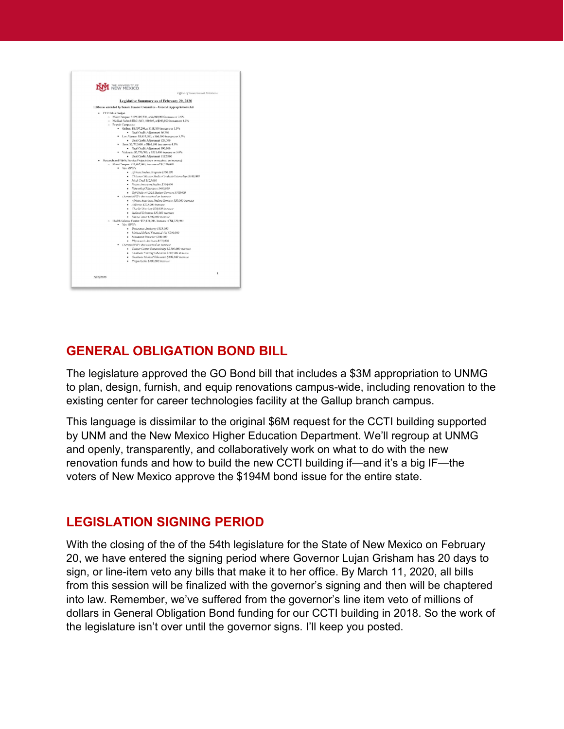| · FY21 I&G Badout.<br>o Branch Campuscs: | Legislative Summary as of February 20, 2020<br>IIB2es as amended by Senate Finance Committee - General Appropriations Act<br>o Main Campus: \$199,385,700, a \$4,949,900 increase or 2.5%<br>o Medical School/HSC: \$63,148,000, a \$940,800 increase or 1.5%<br>· Gallup: \$8,997.200, a \$118,100 increase or 1.3% |
|------------------------------------------|----------------------------------------------------------------------------------------------------------------------------------------------------------------------------------------------------------------------------------------------------------------------------------------------------------------------|
|                                          |                                                                                                                                                                                                                                                                                                                      |
|                                          |                                                                                                                                                                                                                                                                                                                      |
|                                          |                                                                                                                                                                                                                                                                                                                      |
|                                          |                                                                                                                                                                                                                                                                                                                      |
|                                          |                                                                                                                                                                                                                                                                                                                      |
|                                          |                                                                                                                                                                                                                                                                                                                      |
|                                          |                                                                                                                                                                                                                                                                                                                      |
|                                          | · Dual Crudit Adjustment S6,200                                                                                                                                                                                                                                                                                      |
|                                          | · Los Alamos: \$1,935,200, a S66.100 increase or 3.5%                                                                                                                                                                                                                                                                |
|                                          | · Dual Credit Adiustraent \$26,100                                                                                                                                                                                                                                                                                   |
|                                          | * Iaos: S3, 792,600, a \$163,100 increase or 4.3%                                                                                                                                                                                                                                                                    |
|                                          | Daal Cradit Adjustment \$90,800<br>· Valuncia: \$5,770,700, a \$221,400 increase or 3.9%                                                                                                                                                                                                                             |
|                                          | · Dual Credit Adjustment S112,900                                                                                                                                                                                                                                                                                    |
|                                          | · Research and Public Service Projects (new or received an increase)                                                                                                                                                                                                                                                 |
|                                          | o. Main Campus: \$11,607,000, increase of \$2,120,000                                                                                                                                                                                                                                                                |
| · New RPSPs                              |                                                                                                                                                                                                                                                                                                                      |
|                                          | · African Studes Program \$590,900                                                                                                                                                                                                                                                                                   |
|                                          | · Chicana Chicares Studies Croshade Interrediges \$100,000                                                                                                                                                                                                                                                           |
|                                          | $+$ Mark Trad \$125,666                                                                                                                                                                                                                                                                                              |
|                                          | · Notive American Studies \$200,000                                                                                                                                                                                                                                                                                  |
|                                          | · Natwork of Education \$460,690                                                                                                                                                                                                                                                                                     |
|                                          | · Soft Skills of UNM Student Services \$390,000                                                                                                                                                                                                                                                                      |
|                                          | · Chartent 102322 that received an increase                                                                                                                                                                                                                                                                          |
|                                          | · African American Shalent Services \$50,090 increase                                                                                                                                                                                                                                                                |
|                                          | · Athlettes \$225,000 increase                                                                                                                                                                                                                                                                                       |
|                                          | Charlie Morrisey \$90,000 increase                                                                                                                                                                                                                                                                                   |
|                                          | · Judicial Selection \$36,600 merease                                                                                                                                                                                                                                                                                |
|                                          | · Hitem Captur \$100,000 increase<br>o Hualth Science Center: \$32,828,000, increase of \$4,329,900.                                                                                                                                                                                                                 |
| $\bullet$ New RPSP.                      |                                                                                                                                                                                                                                                                                                                      |
|                                          | · Brosciance Authority 5313,000                                                                                                                                                                                                                                                                                      |
|                                          | - Medical School Forestiled Aid \$200,000                                                                                                                                                                                                                                                                            |
|                                          | · Manuscat Departer \$300,000                                                                                                                                                                                                                                                                                        |
|                                          | · Photograph's Assistant \$573,000                                                                                                                                                                                                                                                                                   |
|                                          | Cherront 1028Px that encriting on increase                                                                                                                                                                                                                                                                           |
|                                          | · Cancer Canter Sustamobility \$2,300,000 mercate                                                                                                                                                                                                                                                                    |
|                                          | · Craduite Shering Lducation \$243,900 increase                                                                                                                                                                                                                                                                      |
|                                          | · Graduate Medical Education \$400,000 increase                                                                                                                                                                                                                                                                      |
|                                          | · Project Echo \$500,000 increase                                                                                                                                                                                                                                                                                    |
|                                          |                                                                                                                                                                                                                                                                                                                      |
| 2/20/2020                                | $\overline{1}$                                                                                                                                                                                                                                                                                                       |

# **GENERAL OBLIGATION BOND BILL**

The legislature approved the GO Bond bill that includes a \$3M appropriation to UNMG to plan, design, furnish, and equip renovations campus-wide, including renovation to the existing center for career technologies facility at the Gallup branch campus.

This language is dissimilar to the original \$6M request for the CCTI building supported by UNM and the New Mexico Higher Education Department. We'll regroup at UNMG and openly, transparently, and collaboratively work on what to do with the new renovation funds and how to build the new CCTI building if—and it's a big IF—the voters of New Mexico approve the \$194M bond issue for the entire state.

## **LEGISLATION SIGNING PERIOD**

With the closing of the of the 54th legislature for the State of New Mexico on February 20, we have entered the signing period where Governor Lujan Grisham has 20 days to sign, or line-item veto any bills that make it to her office. By March 11, 2020, all bills from this session will be finalized with the governor's signing and then will be chaptered into law. Remember, we've suffered from the governor's line item veto of millions of dollars in General Obligation Bond funding for our CCTI building in 2018. So the work of the legislature isn't over until the governor signs. I'll keep you posted.